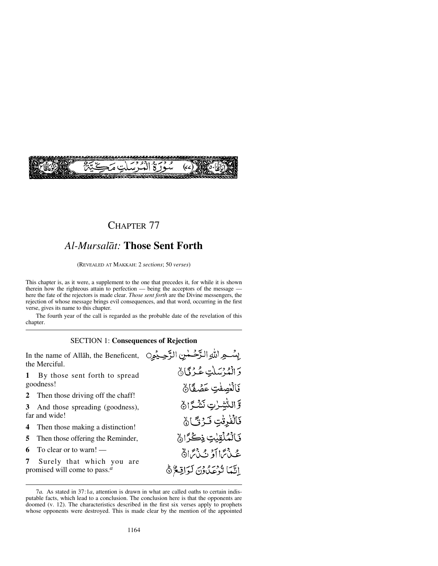

## CHAPTER 77

# *Al-Mursalåt:* **Those Sent Forth**

(REVEALED AT MAKKAH: 2 *sections*; 50 *verses*)

This chapter is, as it were, a supplement to the one that precedes it, for while it is shown therein how the righteous attain to perfection — being the acceptors of the message here the fate of the rejectors is made clear. *Those sent forth* are the Divine messengers, the rejection of whose message brings evil consequences, and that word, occurring in the first verse, gives its name to this chapter.

The fourth year of the call is regarded as the probable date of the revelation of this chapter.

### SECTION 1: **Consequences of Rejection**

| In the name of Allah, the Beneficent,<br>the Merciful.                                  | بِسُــوِ اللهِ الدَّحْمٰنِ الرَّحِـيْمِ                 |
|-----------------------------------------------------------------------------------------|---------------------------------------------------------|
| By those sent forth to spread<br>1<br>goodness!                                         | دَ الْمُدْسَلَتِ عُهْ كَيْ لَ<br>كَالْغِصِفْتِ عَصَٰفًا |
| 2 Then those driving off the chaff!                                                     | <b>وَالشَّيْدُنِ نَشْكَرَانُ</b>                        |
| 3 And those spreading (goodness),<br>far and wide!                                      | قَالْفُرِقْتِ فَكَرْتَّىٰ ۞                             |
| <b>4</b> Then those making a distinction!<br><b>5</b> Then those offering the Reminder, | نَالْمُلْقِيْتِ ذِكْرًا <b>نَ</b>                       |
| To clear or to warn! $-$<br>6                                                           | عُنْ تَمَا آوَ نَ نَ تَمَادَّ                           |
| 7<br>Surely that which you are<br>promised will come to pass. $a$                       | اِنَّمَا تُرْعَدُونَ لَوَاقِعٌ ﴾                        |

<sup>7</sup>*a.* As stated in 37:1*a*, attention is drawn in what are called oaths to certain indisputable facts, which lead to a conclusion. The conclusion here is that the opponents are doomed (v. 12). The characteristics described in the first six verses apply to prophets whose opponents were destroyed. This is made clear by the mention of the appointed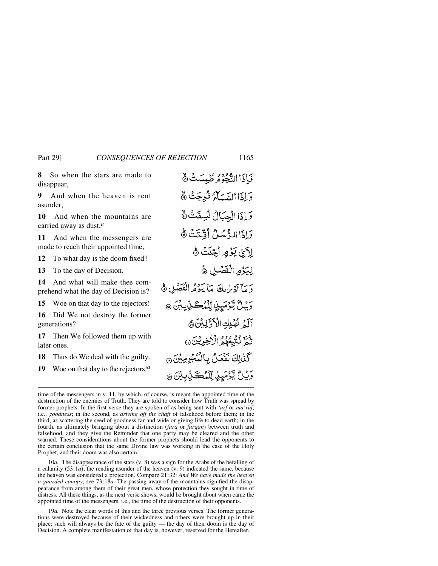**8** So when the stars are made to disappear,

**9** And when the heaven is rent asunder,

**10** And when the mountains are carried away as dust,*<sup>a</sup>*

**11** And when the messengers are made to reach their appointed time,

**12** To what day is the doom fixed?

**13** To the day of Decision.

**14** And what will make thee comprehend what the day of Decision is?

**15** Woe on that day to the rejectors!

**16** Did We not destroy the former generations?

**17** Then We followed them up with later ones.

**18** Thus do We deal with the guilty.

**19** Woe on that day to the rejectors!*<sup>a</sup>*

فَأَذَاالِدُّجُوْمُ طُبِسَتُ ۞ دَ إِذَا السَّيِّبَاءُ فُبِيِجَتْ ﴾ وَ إِذَا الْجِبَالُ نُسِفَتْ ﴾ وَإِذَا الدُّسُلُ أَقِّنَتَ هُ لِأَبِيِّ يَؤْمٍ أَجِّلَتْ ﴾ لِيَوْمِ الْفَصَلِ ﴾ وَ مَأَ آدْيُرْبِكَ مَأْ يَؤْمُرِ الْفَصْلِ ﴾ وَيۡـُلُّ يَّوۡمَيۡنِ لِّلۡمُڪَنِّبِيۡنَ ۞ آلَ نُهُلِكِ الْأَوَّلِينَ مُ نُمَّ نُنْبِعُهُمُ الْأَخِرِيْنَ كَنْبِلِكَ نَقْعَلُ بِالْمُجْرِمِينَ @ رُوْلُ يَوْمَيِنِ لِّلْمُكَ بِّابِيْنَ ۞

time of the messengers in v. 11, by which, of course, is meant the appointed time of the destruction of the enemies of Truth. They are told to consider how Truth was spread by former prophets. In the first verse they are spoken of as being sent with *'urf* or *ma* 'rūf<sup>*f*</sup>, i.e., *goodness*; in the second, as *driving off the chaff* of falsehood before them; in the third, as scattering the seed of goodness far and wide or giving life to dead earth; in the fourth, as ultimately bringing about a distinction (*farq* or *furqån*) between truth and falsehood, and they give the Reminder that one party may be cleared and the other warned. These considerations about the former prophets should lead the opponents to the certain conclusion that the same Divine law was working in the case of the Holy Prophet, and their doom was also certain.

10*a.* The disappearance of the stars (v. 8) was a sign for the Arabs of the befalling of a calamity (53:1*a*); the rending asunder of the heaven (v. 9) indicated the same, because the heaven was considered a protection. Compare 21:32: *And We have made the heaven a guarded canopy*; see 73:18*a*. The passing away of the mountains signified the disappearance from among them of their great men, whose protection they sought in time of distress. All these things, as the next verse shows, would be brought about when came the appointed time of the messengers, i.e., the time of the destruction of their opponents.

19*a.* Note the clear words of this and the three previous verses. The former generations were destroyed because of their wickedness and others were brought up in their place; such will always be the fate of the guilty — the day of their doom is the day of Decision. A complete manifestation of that day is, however, reserved for the Hereafter.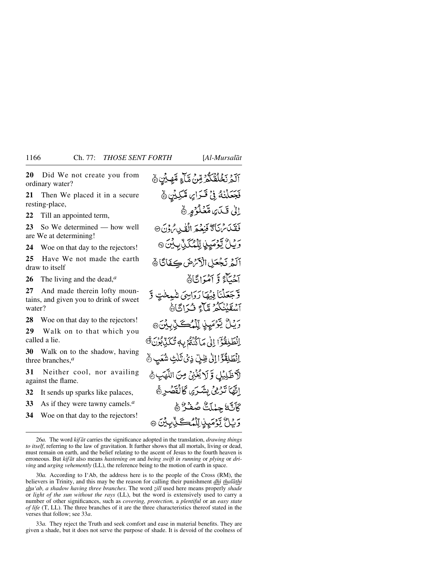**20** Did We not create you from ordinary water?

**21** Then We placed it in a secure resting-place,

**22** Till an appointed term,

**23** So We determined — how well are We at determining!

**24** Woe on that day to the rejectors!

**25** Have We not made the earth draw to itself

**26** The living and the dead,*<sup>a</sup>*

**27** And made therein lofty mountains, and given you to drink of sweet water?

**28** Woe on that day to the rejectors!

**29** Walk on to that which you called a lie.

**30** Walk on to the shadow, having three branches,*<sup>a</sup>*

**31** Neither cool, nor availing against the flame.

**32** It sends up sparks like palaces,

**33** As if they were tawny camels.*<sup>a</sup>*

**34** Woe on that day to the rejectors!

ٱلۡمَرۡنَخۡلَقۡكُمۡۡرَّمِّنۡ مَّآۡءٍ مِّهِ بِّنِ ڽ فَجَعَلْنُهُ فِي قَـٰرَامِ، مَّكِيِّن ۞ اِلٰى قَيَايَ مَّعْلُوْمٍ ﴾ فَقَلَاسْنَاً تَخْفِعَهِ الْقَيْدِينَ@ رَيْنَ يَّوْمَيِّنِ لِّكْمُكَنِّ بِكِينَ @ أَلَمْ نَجْعَلِ الْأَنْرَضَ كِفَاتًا ﴾ آخيآءَ وَ آمُيَ اِيَّادُ وَّجَعَلْنَا فِيهَا رَوَاسِيَ شَيِخْتٍ وَّ أَسْقَنْنَكُمْ مَّآَجَ فَ آتَاهُ *ۄؘ*ؽڷۢؾٷڡؘؠٟڹۣٚٳڷۣڵؠٛٛػػڷۣڔؚؽ۬ڽؘؗ۞ اِنْطَيْقُوْٓ) إِلَى مَاكِنَّةُ بِهِ تُكَيِّبُونَ® الْطَلِقُوَّا إِلَىٰ ظِلِّ ذِي ثَلْتِ شُعَبٍ ﴾ لَاظَلِيْلِ وَّلَا يُغْنِىُ مِنَ اللَّهَبِ هُ الِّهَا تَدْمِيْ بِشَدَّى كَالْقَصْرِ ﴾ كَأَنَّهُ جِهْلَتُّ صُفَّرٌ ﴾ وَبِّلُ يَّوْمَىِنِ لِّلْمُكَ لِّبِيِّنَ ۞

30*a.* According to I'Ab, the address here is to the people of the Cross (RM), the believers in Trinity, and this may be the reason for calling their punishment *dhi thalāthi shu'ab, a shadow having three branches*. The word *˚ill* used here means properly *shade* or *light of the sun without the rays* (LL), but the word is extensively used to carry a number of other significances, such as *covering, protection,* a *plentiful* or an *easy state of life* (T, LL). The three branches of it are the three characteristics thereof stated in the verses that follow; see 33*a*.

33*a.* They reject the Truth and seek comfort and ease in material benefits. They are given a shade, but it does not serve the purpose of shade. It is devoid of the coolness of

<sup>26</sup>*a.* The word *kif åt* carries the significance adopted in the translation, *drawing things to itself*, referring to the law of gravitation. It further shows that all mortals, living or dead, must remain on earth, and the belief relating to the ascent of Jesus to the fourth heaven is erroneous. But *kif åt* also means *hastening on* and *being swift in running* or *plying* or *driving* and *urging vehemently* (LL), the reference being to the motion of earth in space.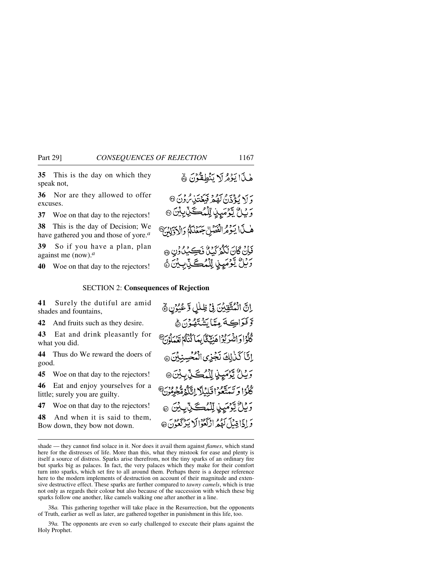**35** This is the day on which they speak not,

**36** Nor are they allowed to offer excuses.

**37** Woe on that day to the rejectors!

**38** This is the day of Decision; We have gathered you and those of yore.*<sup>a</sup>*

**39** So if you have a plan, plan against me (now).*<sup>a</sup>*

**40** Woe on that day to the rejectors!

## SECTION 2: **Consequences of Rejection**

**41** Surely the dutiful are amid shades and fountains,

**42** And fruits such as they desire.

**43** Eat and drink pleasantly for what you did.

**44** Thus do We reward the doers of good.

**45** Woe on that day to the rejectors!

**46** Eat and enjoy yourselves for a little; surely you are guilty.

**47** Woe on that day to the rejectors!

**48** And when it is said to them, Bow down, they bow not down.

38*a.* This gathering together will take place in the Resurrection, but the opponents of Truth, earlier as well as later, are gathered together in punishment in this life, too.

39*a.* The opponents are even so early challenged to execute their plans against the Holy Prophet.

هٰذَا يَذَمُّ لَا يَنْطِقُوْنَ ﴾

وَلاَ يُؤْذَنُ لَهُمْ فَيَعۡتَٰنِمُّونَ @ وَيْلُ يَّوْمَيِنٍ يِّلْمُكَّلِّيْتِيْنَ ۞

هٰ فَا يَؤْثَرُ الْفَصَلِّ جَمَعْنَكُمْ وَالْأَوَّلِيْنَ

فَإِنْ كَانَ نَكُمْ يَمْرُونَ فَكِيكَنَّ وَنِ ۞ وَيْلُ يَّوْمَيِنِ لِّلْمُكَ يِّآبِيْنَ جَ

إِنَّ الْمُتَّقِيِّنَ فِي ظِلْلٍ وَعُيُّرُنِ ﴾ وَفَوَاكِهَ مِتَايَشْنَهُوْنَ ﴾ كْلُوْادْ انْبَيْرْ بُوْا هَنْجْ يْتَّا بِيهَا كُنْتُمْ قَعْبِيلُوْنَ هِ إِنَّا كَذَٰإِلَى نَجْزِى الْمُحْسِنِيِّنَ @ وَيْلُ يَّوْمَيِّذٍ إِلَّهُ كَيْ بِيْنَ٥ كُلُوۡا وَ تَبَدَّعُوۡا قَلِيۡلَآ اِتَّلَيۡهُ مُّعِهُومُونَ ﴾ وَيْلٌ يَّوْمَىِنِ لِّلْمُكَّيْنِ بِيْنَ ۞ وَ إِذَا قِيلَ لَهُمُهُ إِذْ كَعُوْالَا يَدْ كَعَوْنَ ۞

shade — they cannot find solace in it. Nor does it avail them against *flames*, which stand here for the distresses of life. More than this, what they mistook for ease and plenty is itself a source of distress. Sparks arise therefrom, not the tiny sparks of an ordinary fire but sparks big as palaces. In fact, the very palaces which they make for their comfort turn into sparks, which set fire to all around them. Perhaps there is a deeper reference here to the modern implements of destruction on account of their magnitude and extensive destructive effect. These sparks are further compared to *tawny camels*, which is true not only as regards their colour but also because of the succession with which these big sparks follow one another, like camels walking one after another in a line.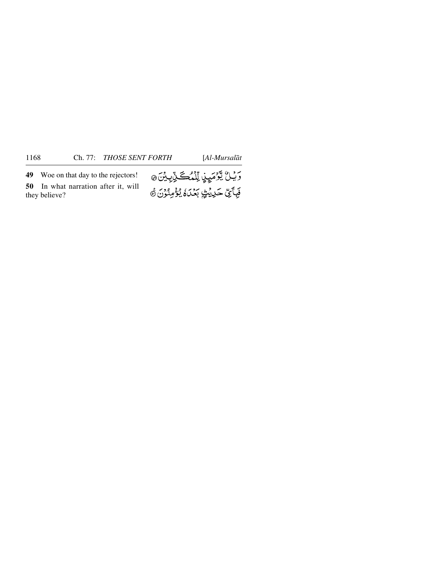**49** Woe on that day to the rejectors! **50** In what narration after it, will they believe?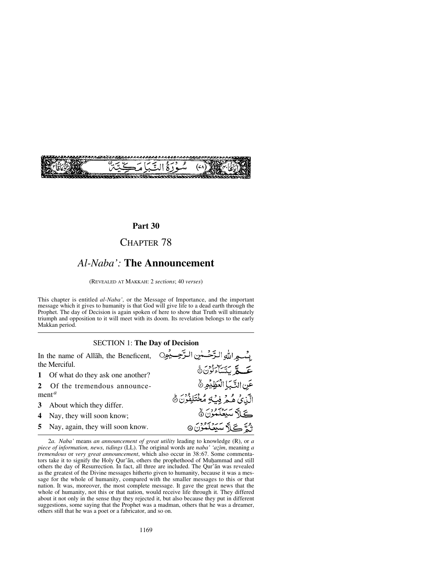

## **Part 30**

## CHAPTER 78

# *Al-Naba':* **The Announcement**

(REVEALED AT MAKKAH: 2 *sections*; 40 *verses*)

This chapter is entitled *al-Naba',* or the Message of Importance, and the important message which it gives to humanity is that God will give life to a dead earth through the Prophet. The day of Decision is again spoken of here to show that Truth will ultimately triumph and opposition to it will meet with its doom. Its revelation belongs to the early Makkan period.

### SECTION 1: **The Day of Decision**

بِسْبِهِ اللَّهِ الدَّحْسَلِينِ الرَّحِسِيْمِينِ In the name of Allåh, the Beneficent, the Merciful. حَمِّلَّا بَنْسَاءَلُوْنَ۞ **1** Of what do they ask one another? عَنِ النَّبَا الْعَظِيْمِ ۞ **2** Of the tremendous announcement*<sup>a</sup>* الَّذِي هُبِهِ فِبِ4 مُخْتَلِفُونَ ﴾ **3** About which they differ. كے باتك سكنك مقدم الق **4** Nay, they will soon know; خ\ٌ سَتَضَلَّمُوْنَ ۞ **5** Nay, again, they will soon know.

<sup>2</sup>*a. Naba'* means *an announcement of great utility* leading to knowledge (R), or *a piece of information, news, tidings* (LL). The original words are *naba' 'azim*, meaning *a tremendous* or *very great announcement*, which also occur in 38:67. Some commentators take it to signify the Holy Qur'ān, others the prophethood of Muhammad and still others the day of Resurrection. In fact, all three are included. The Qur'ån was revealed as the greatest of the Divine messages hitherto given to humanity, because it was a message for the whole of humanity, compared with the smaller messages to this or that nation. It was, moreover, the most complete message. It gave the great news that the whole of humanity, not this or that nation, would receive life through it. They differed about it not only in the sense thay they rejected it, but also because they put in different suggestions, some saying that the Prophet was a madman, others that he was a dreamer, others still that he was a poet or a fabricator, and so on.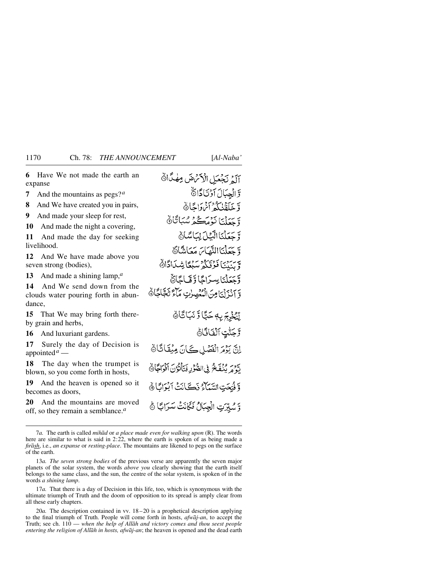**7** And the mountains as pegs?*<sup>a</sup>*

**8** And We have created you in pairs,

**9** And made your sleep for rest,

**10** And made the night a covering,

**11** And made the day for seeking livelihood.

**12** And We have made above you seven strong (bodies),

**13** And made a shining lamp,*<sup>a</sup>*

**14** And We send down from the clouds water pouring forth in abundance,

**15** That We may bring forth thereby grain and herbs,

**16** And luxuriant gardens.

**17** Surely the day of Decision is appointed*<sup>a</sup>* —

**18** The day when the trumpet is blown, so you come forth in hosts,

**19** And the heaven is opened so it becomes as doors,

**20** And the mountains are moved off, so they remain a semblance.*<sup>a</sup>*

آلَمْ نَجْعَيْلِ الْأَنْهُ صَ مِهْدًا أَ وَ الْجِبَالَ آوُتَادَّاهُ

وَّ خَلَقْنَا كُمْ أَيْرَوَاجًا۞ وَّ حَعَلْنَا نَوْمَكُمْ سُبَاتَا۞ وَّ جَعَلْنَا الَّذِلَ لِمَاسَّاهُ وَتَحَدَّنَاالِنَّمَاسَ مَعَاشَاً وَ وسندي فوقنكو سنكأ شداداة

وَّجَعَلْنَا بِسَرَاجًا وَّقَمَاجًاهُّ وَ آذَرْنَيَا مِنَ الْمُعْصِرِتِ مَآءً تَجَاجًا ﴾

لِّنْخُمْ بَرِبِهِ حَبًّا وَّ نَبَاتَاهُ وَّجَنَّتِ ٱلۡفَاتَّاَةَ اِنَّ يَزْمَرَ الْفَصَٰلِ كَانَ مِيْقَاتَا۞ لَّهُ مَهْ يُنْفَخُ فِي الصُّؤُدِ فَيَأْتُوُنَ أَفْوَاجًا۞ وَ فُتَحَتِ السَّيَآءُ ذَكَّ أَنْتُ أَنْوَاتًا أَهْ وَّ سُبِّرَتِ الْجِبَالُ فَكَانَتْ سَرَابًا ﴾

7*a.* The earth is called *mihåd* or *a place made even for walking upon* (R). The words here are similar to what is said in 2:22, where the earth is spoken of as being made a *firåsh*, i.e., *an expanse* or *resting-place*. The mountains are likened to pegs on the surface of the earth.

13*a. The seven strong bodies* of the previous verse are apparently the seven major planets of the solar system, the words *above you* clearly showing that the earth itself belongs to the same class, and the sun, the centre of the solar system, is spoken of in the words *a shining lamp*.

17*a.* That there is a day of Decision in this life, too, which is synonymous with the ultimate triumph of Truth and the doom of opposition to its spread is amply clear from all these early chapters.

20*a.* The description contained in vv. 18 –20 is a prophetical description applying to the final triumph of Truth. People will come forth in hosts, *afwåj-an*, to accept the Truth; see ch. 110 — *when the help of Allåh and victory comes and thou seest people entering the religion of Allåh in hosts, afwåj-an*; the heaven is opened and the dead earth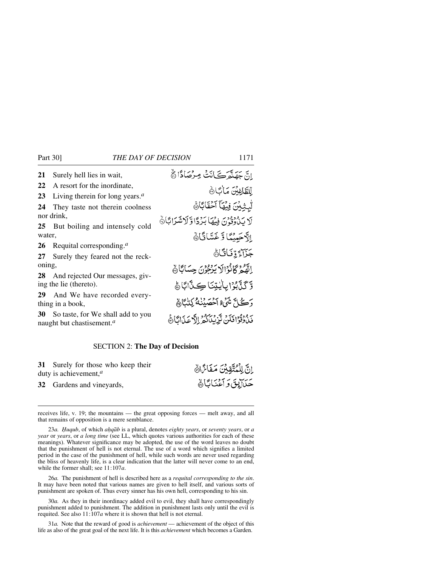| 21     | Surely hell lies in wait,                                                                   | انَّ جَهَنَّعَ كَانَتْ مِرْصَادًا ۞               |
|--------|---------------------------------------------------------------------------------------------|---------------------------------------------------|
| 22     | A resort for the inordinate,                                                                | للطَّاغِينَ مَاٰكَانَ                             |
| 23     | Living therein for long years. <sup><math>a</math></sup>                                    |                                                   |
| 24     | They taste not therein coolness                                                             | لْبِثِيْنَ فِيْهَآ آَحُقَابَا۞                    |
|        | nor drink,                                                                                  | لَا يَذُرُوْنَ فِيْهَا بَرْدًا وَلَاشَرَابًا۞     |
|        | 25 But boiling and intensely cold                                                           |                                                   |
| water, |                                                                                             | الآجَيِيَّةَ الَاخَشَاقَانَ                       |
|        | 26 Requital corresponding. $a$                                                              |                                                   |
|        | 27 Surely they feared not the reck-                                                         | جَزَاءً وِّ فَبَاقًاهُ                            |
| oning, |                                                                                             | إِنَّهُمْ كَانْزَالَا يَدْعُونَ حِسَابًاهُ        |
|        | 28 And rejected Our messages, giv-                                                          |                                                   |
|        | ing the lie (thereto).                                                                      | وَكَذَّبُوْا بِأَيْتِنَا كِنَّابًا ﴾              |
| 29     | And We have recorded every-<br>thing in a book,                                             | وَكَلَّ شَيْءُ آَحْصَيْنَهُ كِتَبْكَأَنَّ         |
|        | <b>30</b> So taste, for We shall add to you<br>naught but chastisement. <sup><i>a</i></sup> | بِ وَقَوْا فَكُنْ تَزِيْنَاكُمْ إِلَّا عَذَانَاهَ |

### SECTION 2: **The Day of Decision**

**31** Surely for those who keep their duty is achievement,*<sup>a</sup>*

**32** Gardens and vineyards,

receives life, v. 19; the mountains — the great opposing forces — melt away, and all that remains of opposition is a mere semblance.

23*a. Ïuqub*, of which *a√qåb* is a plural, denotes *eighty years*, or *seventy years*, or *a year* or *years*, or *a long time* (see LL, which quotes various authorities for each of these meanings). Whatever significance may be adopted, the use of the word leaves no doubt that the punishment of hell is not eternal. The use of a word which signifies a limited period in the case of the punishment of hell, while such words are never used regarding the bliss of heavenly life, is a clear indication that the latter will never come to an end, while the former shall; see 11:107*a*.

26*a.* The punishment of hell is described here as a *requital corresponding to the sin*. It may have been noted that various names are given to hell itself, and various sorts of punishment are spoken of. Thus every sinner has his own hell, corresponding to his sin.

30*a.* As they in their inordinacy added evil to evil, they shall have correspondingly punishment added to punishment. The addition in punishment lasts only until the evil is requited. See also 11:107*a* where it is shown that hell is not eternal.

31*a.* Note that the reward of good is *achievement* — achievement of the object of this life as also of the great goal of the next life. It is this *achievement* which becomes a Garden.

انَّ لِلْمُتَّقِينَ مَفَائِنَا حَدَالِوقَ وَ آَعَنَا بَانَ